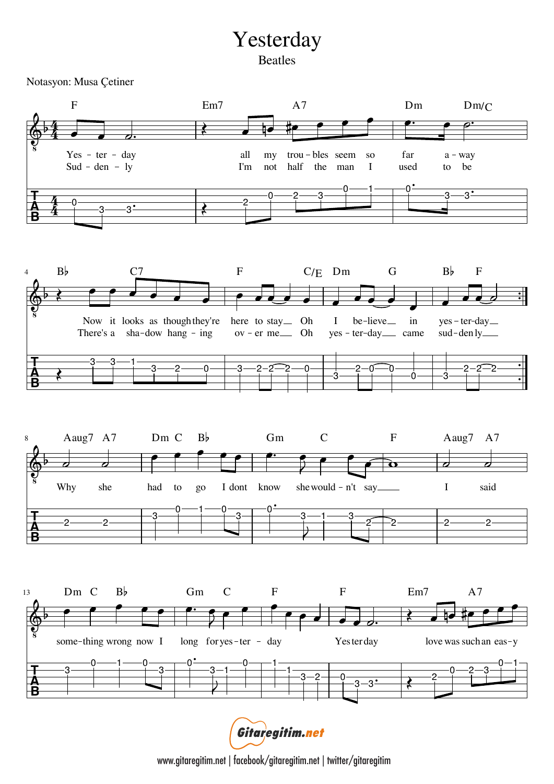## Yesterday Beatles

Notasyon: Musa Çetiner



Gitaregitim.net

www.gitaregitim.net | facebook/gitaregitim.net | twitter/gitaregitim